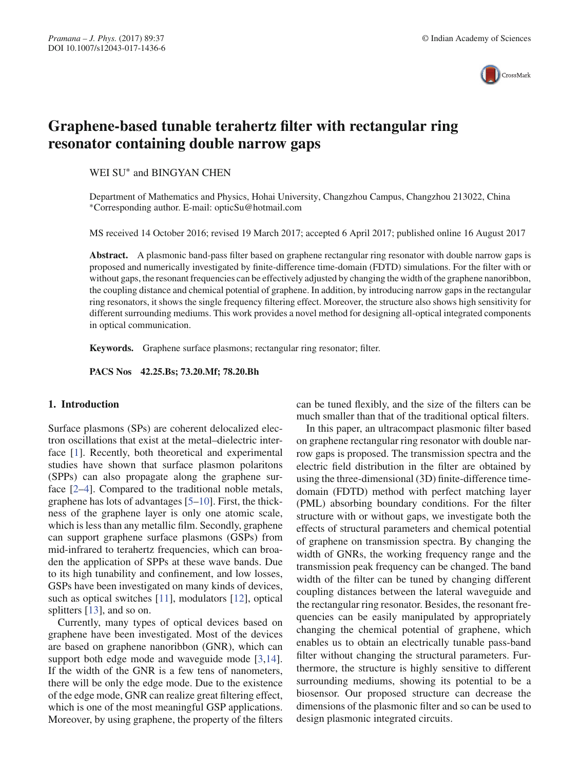

# **Graphene-based tunable terahertz filter with rectangular ring resonator containing double narrow gaps**

# WEI SU<sup>∗</sup> and BINGYAN CHEN

Department of Mathematics and Physics, Hohai University, Changzhou Campus, Changzhou 213022, China ∗Corresponding author. E-mail: opticSu@hotmail.com

MS received 14 October 2016; revised 19 March 2017; accepted 6 April 2017; published online 16 August 2017

**Abstract.** A plasmonic band-pass filter based on graphene rectangular ring resonator with double narrow gaps is proposed and numerically investigated by finite-difference time-domain (FDTD) simulations. For the filter with or without gaps, the resonant frequencies can be effectively adjusted by changing the width of the graphene nanoribbon, the coupling distance and chemical potential of graphene. In addition, by introducing narrow gaps in the rectangular ring resonators, it shows the single frequency filtering effect. Moreover, the structure also shows high sensitivity for different surrounding mediums. This work provides a novel method for designing all-optical integrated components in optical communication.

**Keywords.** Graphene surface plasmons; rectangular ring resonator; filter.

**PACS Nos 42.25.Bs; 73.20.Mf; 78.20.Bh**

# **1. Introduction**

Surface plasmons (SPs) are coherent delocalized electron oscillations that exist at the metal–dielectric interface [1]. Recently, both theoretical and experimental studies have shown that surface plasmon polaritons (SPPs) can also propagate along the graphene surface  $[2-4]$ . Compared to the traditional noble metals, graphene has lots of advantages [5–10]. First, the thickness of the graphene layer is only one atomic scale, which is less than any metallic film. Secondly, graphene can support graphene surface plasmons (GSPs) from mid-infrared to terahertz frequencies, which can broaden the application of SPPs at these wave bands. Due to its high tunability and confinement, and low losses, GSPs have been investigated on many kinds of devices, such as optical switches [11], modulators [12], optical splitters [13], and so on.

Currently, many types of optical devices based on graphene have been investigated. Most of the devices are based on graphene nanoribbon (GNR), which can support both edge mode and waveguide mode [3,14]. If the width of the GNR is a few tens of nanometers, there will be only the edge mode. Due to the existence of the edge mode, GNR can realize great filtering effect, which is one of the most meaningful GSP applications. Moreover, by using graphene, the property of the filters can be tuned flexibly, and the size of the filters can be much smaller than that of the traditional optical filters.

In this paper, an ultracompact plasmonic filter based on graphene rectangular ring resonator with double narrow gaps is proposed. The transmission spectra and the electric field distribution in the filter are obtained by using the three-dimensional (3D) finite-difference timedomain (FDTD) method with perfect matching layer (PML) absorbing boundary conditions. For the filter structure with or without gaps, we investigate both the effects of structural parameters and chemical potential of graphene on transmission spectra. By changing the width of GNRs, the working frequency range and the transmission peak frequency can be changed. The band width of the filter can be tuned by changing different coupling distances between the lateral waveguide and the rectangular ring resonator. Besides, the resonant frequencies can be easily manipulated by appropriately changing the chemical potential of graphene, which enables us to obtain an electrically tunable pass-band filter without changing the structural parameters. Furthermore, the structure is highly sensitive to different surrounding mediums, showing its potential to be a biosensor. Our proposed structure can decrease the dimensions of the plasmonic filter and so can be used to design plasmonic integrated circuits.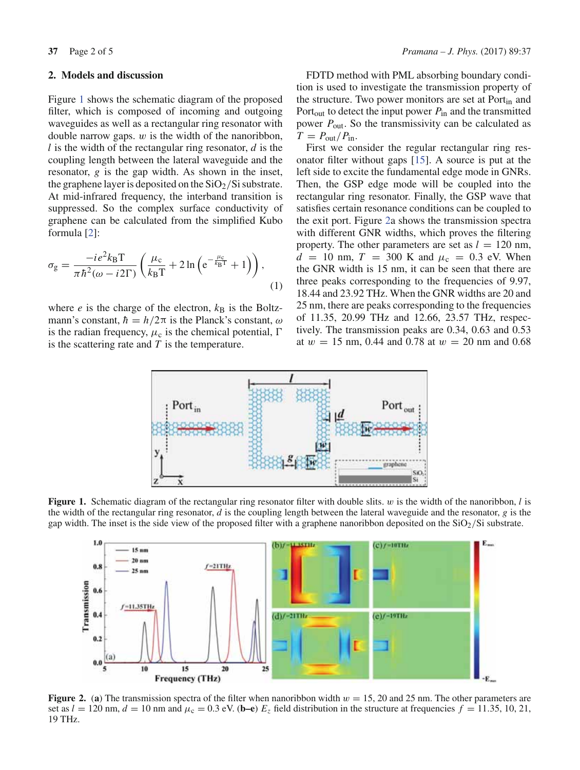#### **2. Models and discussion**

Figure 1 shows the schematic diagram of the proposed filter, which is composed of incoming and outgoing waveguides as well as a rectangular ring resonator with double narrow gaps.  $w$  is the width of the nanoribbon, *l* is the width of the rectangular ring resonator, *d* is the coupling length between the lateral waveguide and the resonator, *g* is the gap width. As shown in the inset, the graphene layer is deposited on the  $SiO<sub>2</sub>/Si$  substrate. At mid-infrared frequency, the interband transition is suppressed. So the complex surface conductivity of graphene can be calculated from the simplified Kubo formula [2]:

$$
\sigma_{g} = \frac{-ie^{2}k_{\mathrm{B}}T}{\pi\hbar^{2}(\omega - i2\Gamma)} \left(\frac{\mu_{\mathrm{c}}}{k_{\mathrm{B}}T} + 2\ln\left(e^{-\frac{\mu_{\mathrm{c}}}{k_{\mathrm{B}}T}} + 1\right)\right),\tag{1}
$$

where  $e$  is the charge of the electron,  $k_B$  is the Boltzmann's constant,  $\hbar = h/2\pi$  is the Planck's constant,  $\omega$ is the radian frequency,  $\mu_c$  is the chemical potential,  $\Gamma$ is the scattering rate and *T* is the temperature.

FDTD method with PML absorbing boundary condition is used to investigate the transmission property of the structure. Two power monitors are set at Portin and Portout to detect the input power *P*in and the transmitted power  $P_{\text{out}}$ . So the transmissivity can be calculated as  $T = P_{\text{out}}/P_{\text{in}}$ .

First we consider the regular rectangular ring resonator filter without gaps [15]. A source is put at the left side to excite the fundamental edge mode in GNRs. Then, the GSP edge mode will be coupled into the rectangular ring resonator. Finally, the GSP wave that satisfies certain resonance conditions can be coupled to the exit port. Figure 2a shows the transmission spectra with different GNR widths, which proves the filtering property. The other parameters are set as  $l = 120$  nm,  $d = 10$  nm,  $T = 300$  K and  $\mu_c = 0.3$  eV. When the GNR width is 15 nm, it can be seen that there are three peaks corresponding to the frequencies of 9.97, 18.44 and 23.92 THz. When the GNR widths are 20 and 25 nm, there are peaks corresponding to the frequencies of 11.35, 20.99 THz and 12.66, 23.57 THz, respectively. The transmission peaks are 0.34, 0.63 and 0.53 at  $w = 15$  nm, 0.44 and 0.78 at  $w = 20$  nm and 0.68



**Figure 1.** Schematic diagram of the rectangular ring resonator filter with double slits. w is the width of the nanoribbon, *l* is the width of the rectangular ring resonator, *d* is the coupling length between the lateral waveguide and the resonator, *g* is the gap width. The inset is the side view of the proposed filter with a graphene nanoribbon deposited on the  $SiO<sub>2</sub>/Si$  substrate.



**Figure 2.** (a) The transmission spectra of the filter when nanoribbon width  $w = 15$ , 20 and 25 nm. The other parameters are set as  $l = 120$  nm,  $d = 10$  nm and  $\mu_c = 0.3$  eV. (b-e)  $E_z$  field distribution in the structure at frequencies  $f = 11.35, 10, 21$ , 19 THz.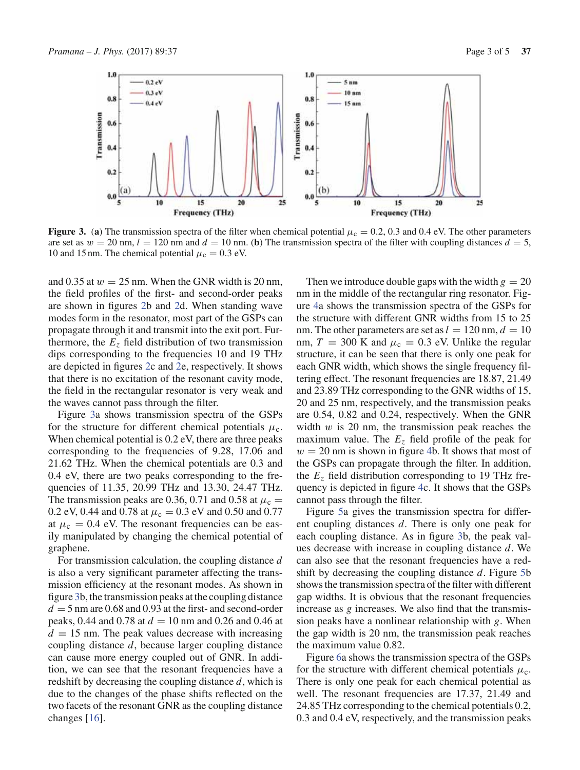

**Figure 3.** (a) The transmission spectra of the filter when chemical potential  $\mu_c = 0.2, 0.3$  and 0.4 eV. The other parameters are set as  $w = 20$  nm,  $l = 120$  nm and  $d = 10$  nm. (b) The transmission spectra of the filter with coupling distances  $d = 5$ , 10 and 15 nm. The chemical potential  $\mu_c = 0.3$  eV.

and 0.35 at  $w = 25$  nm. When the GNR width is 20 nm, the field profiles of the first- and second-order peaks are shown in figures 2b and 2d. When standing wave modes form in the resonator, most part of the GSPs can propagate through it and transmit into the exit port. Furthermore, the  $E_z$  field distribution of two transmission dips corresponding to the frequencies 10 and 19 THz are depicted in figures 2c and 2e, respectively. It shows that there is no excitation of the resonant cavity mode, the field in the rectangular resonator is very weak and the waves cannot pass through the filter.

Figure 3a shows transmission spectra of the GSPs for the structure for different chemical potentials  $\mu_c$ . When chemical potential is 0.2 eV, there are three peaks corresponding to the frequencies of 9.28, 17.06 and 21.62 THz. When the chemical potentials are 0.3 and 0.4 eV, there are two peaks corresponding to the frequencies of 11.35, 20.99 THz and 13.30, 24.47 THz. The transmission peaks are 0.36, 0.71 and 0.58 at  $\mu_c =$ 0.2 eV, 0.44 and 0.78 at  $\mu_c = 0.3$  eV and 0.50 and 0.77 at  $\mu_c = 0.4$  eV. The resonant frequencies can be easily manipulated by changing the chemical potential of graphene.

For transmission calculation, the coupling distance *d* is also a very significant parameter affecting the transmission efficiency at the resonant modes. As shown in figure 3b, the transmission peaks at the coupling distance  $d = 5$  nm are 0.68 and 0.93 at the first- and second-order peaks, 0.44 and 0.78 at *d* = 10 nm and 0.26 and 0.46 at  $d = 15$  nm. The peak values decrease with increasing coupling distance *d*, because larger coupling distance can cause more energy coupled out of GNR. In addition, we can see that the resonant frequencies have a redshift by decreasing the coupling distance *d*, which is due to the changes of the phase shifts reflected on the two facets of the resonant GNR as the coupling distance changes [16].

Then we introduce double gaps with the width  $g = 20$ nm in the middle of the rectangular ring resonator. Figure 4a shows the transmission spectra of the GSPs for the structure with different GNR widths from 15 to 25 nm. The other parameters are set as  $l = 120$  nm,  $d = 10$ nm,  $T = 300$  K and  $\mu_c = 0.3$  eV. Unlike the regular structure, it can be seen that there is only one peak for each GNR width, which shows the single frequency filtering effect. The resonant frequencies are 18.87, 21.49 and 23.89 THz corresponding to the GNR widths of 15, 20 and 25 nm, respectively, and the transmission peaks are 0.54, 0.82 and 0.24, respectively. When the GNR width  $w$  is 20 nm, the transmission peak reaches the maximum value. The  $E<sub>z</sub>$  field profile of the peak for  $w = 20$  nm is shown in figure 4b. It shows that most of the GSPs can propagate through the filter. In addition, the  $E_z$  field distribution corresponding to 19 THz frequency is depicted in figure 4c. It shows that the GSPs cannot pass through the filter.

Figure 5a gives the transmission spectra for different coupling distances *d*. There is only one peak for each coupling distance. As in figure 3b, the peak values decrease with increase in coupling distance *d*. We can also see that the resonant frequencies have a redshift by decreasing the coupling distance *d*. Figure 5b shows the transmission spectra of the filter with different gap widths. It is obvious that the resonant frequencies increase as *g* increases. We also find that the transmission peaks have a nonlinear relationship with *g*. When the gap width is 20 nm, the transmission peak reaches the maximum value 0.82.

Figure 6a shows the transmission spectra of the GSPs for the structure with different chemical potentials  $\mu_c$ . There is only one peak for each chemical potential as well. The resonant frequencies are 17.37, 21.49 and 24.85 THz corresponding to the chemical potentials 0.2, 0.3 and 0.4 eV, respectively, and the transmission peaks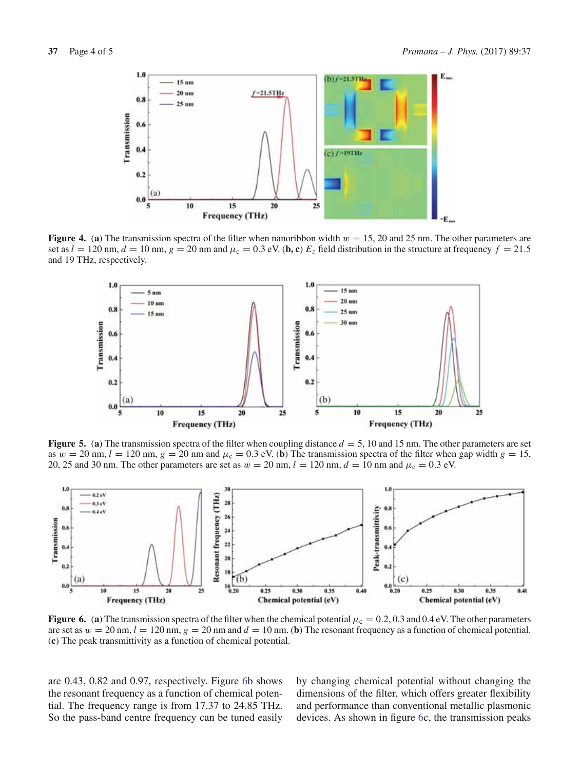

**Figure 4.** (a) The transmission spectra of the filter when nanoribbon width  $w = 15$ , 20 and 25 nm. The other parameters are set as  $l = 120$  nm,  $d = 10$  nm,  $g = 20$  nm and  $\mu_c = 0.3$  eV. (b, c)  $E_z$  field distribution in the structure at frequency  $f = 21.5$ and 19 THz, respectively.



**Figure 5.** (a) The transmission spectra of the filter when coupling distance  $d = 5$ , 10 and 15 nm. The other parameters are set as  $w = 20$  nm,  $l = 120$  nm,  $g = 20$  nm and  $\mu_c = 0.3$  eV. (b) The transmission spectra of the filter when gap width  $g = 15$ , 20, 25 and 30 nm. The other parameters are set as  $w = 20$  nm,  $l = 120$  nm,  $d = 10$  nm and  $\mu_c = 0.3$  eV.



**Figure 6.** (a) The transmission spectra of the filter when the chemical potential  $\mu_c = 0.2, 0.3$  and  $0.4$  eV. The other parameters are set as  $w = 20$  nm,  $l = 120$  nm,  $g = 20$  nm and  $d = 10$  nm. (b) The resonant frequency as a function of chemical potential. (**c**) The peak transmittivity as a function of chemical potential.

are 0.43, 0.82 and 0.97, respectively. Figure 6b shows the resonant frequency as a function of chemical potential. The frequency range is from 17.37 to 24.85 THz. So the pass-band centre frequency can be tuned easily

by changing chemical potential without changing the dimensions of the filter, which offers greater flexibility and performance than conventional metallic plasmonic devices. As shown in figure 6c, the transmission peaks